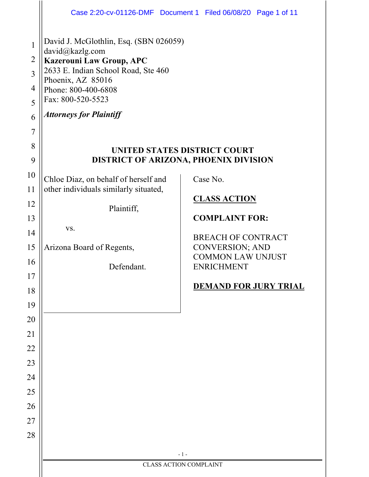|                                                                           |                                                                                                                                                                                                                                        | Case 2:20-cv-01126-DMF  Document 1  Filed 06/08/20  Page 1 of 11             |  |
|---------------------------------------------------------------------------|----------------------------------------------------------------------------------------------------------------------------------------------------------------------------------------------------------------------------------------|------------------------------------------------------------------------------|--|
| $\mathbf{1}$<br>$\overline{2}$<br>3<br>$\overline{4}$<br>5<br>6<br>7<br>8 | David J. McGlothlin, Esq. (SBN 026059)<br>david@kazlg.com<br><b>Kazerouni Law Group, APC</b><br>2633 E. Indian School Road, Ste 460<br>Phoenix, AZ 85016<br>Phone: 800-400-6808<br>Fax: 800-520-5523<br><b>Attorneys for Plaintiff</b> | UNITED STATES DISTRICT COURT                                                 |  |
| 9                                                                         |                                                                                                                                                                                                                                        | DISTRICT OF ARIZONA, PHOENIX DIVISION                                        |  |
| 10<br>11                                                                  | Chloe Diaz, on behalf of herself and<br>other individuals similarly situated,                                                                                                                                                          | Case No.                                                                     |  |
| 12                                                                        |                                                                                                                                                                                                                                        | <b>CLASS ACTION</b>                                                          |  |
| 13                                                                        | Plaintiff,                                                                                                                                                                                                                             | <b>COMPLAINT FOR:</b><br><b>BREACH OF CONTRACT</b><br><b>CONVERSION; AND</b> |  |
| 14                                                                        | VS.                                                                                                                                                                                                                                    |                                                                              |  |
| 15                                                                        | Arizona Board of Regents,                                                                                                                                                                                                              |                                                                              |  |
| 16                                                                        | Defendant.                                                                                                                                                                                                                             | <b>COMMON LAW UNJUST</b><br><b>ENRICHMENT</b>                                |  |
| 17                                                                        |                                                                                                                                                                                                                                        |                                                                              |  |
| 18                                                                        |                                                                                                                                                                                                                                        | <b>DEMAND FOR JURY TRIAL</b>                                                 |  |
| 19                                                                        |                                                                                                                                                                                                                                        |                                                                              |  |
| 20                                                                        |                                                                                                                                                                                                                                        |                                                                              |  |
| 21                                                                        |                                                                                                                                                                                                                                        |                                                                              |  |
| 22                                                                        |                                                                                                                                                                                                                                        |                                                                              |  |
| 23                                                                        |                                                                                                                                                                                                                                        |                                                                              |  |
| 24                                                                        |                                                                                                                                                                                                                                        |                                                                              |  |
| 25                                                                        |                                                                                                                                                                                                                                        |                                                                              |  |
| 26                                                                        |                                                                                                                                                                                                                                        |                                                                              |  |
| 27<br>28                                                                  |                                                                                                                                                                                                                                        |                                                                              |  |
|                                                                           |                                                                                                                                                                                                                                        |                                                                              |  |
|                                                                           | $-1-$<br><b>CLASS ACTION COMPLAINT</b>                                                                                                                                                                                                 |                                                                              |  |
|                                                                           |                                                                                                                                                                                                                                        |                                                                              |  |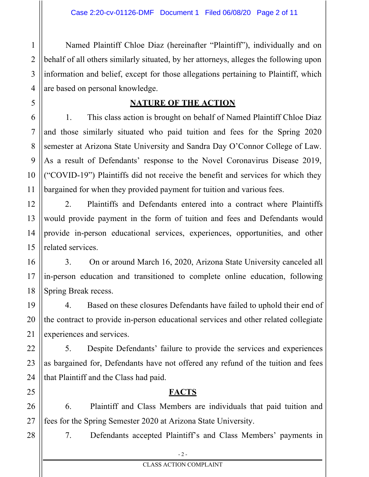1 Named Plaintiff Chloe Diaz (hereinafter "Plaintiff"), individually and on behalf of all others similarly situated, by her attorneys, alleges the following upon information and belief, except for those allegations pertaining to Plaintiff, which are based on personal knowledge.

#### **NATURE OF THE ACTION**

1. This class action is brought on behalf of Named Plaintiff Chloe Diaz and those similarly situated who paid tuition and fees for the Spring 2020 semester at Arizona State University and Sandra Day O'Connor College of Law. As a result of Defendants' response to the Novel Coronavirus Disease 2019, ("COVID-19") Plaintiffs did not receive the benefit and services for which they bargained for when they provided payment for tuition and various fees.

2. Plaintiffs and Defendants entered into a contract where Plaintiffs would provide payment in the form of tuition and fees and Defendants would provide in-person educational services, experiences, opportunities, and other related services.

3. On or around March 16, 2020, Arizona State University canceled all in-person education and transitioned to complete online education, following Spring Break recess.

4. Based on these closures Defendants have failed to uphold their end of the contract to provide in-person educational services and other related collegiate experiences and services.

5. Despite Defendants' failure to provide the services and experiences as bargained for, Defendants have not offered any refund of the tuition and fees that Plaintiff and the Class had paid.

6. Plaintiff and Class Members are individuals that paid tuition and fees for the Spring Semester 2020 at Arizona State University.

**FACTS**

7. Defendants accepted Plaintiff's and Class Members' payments in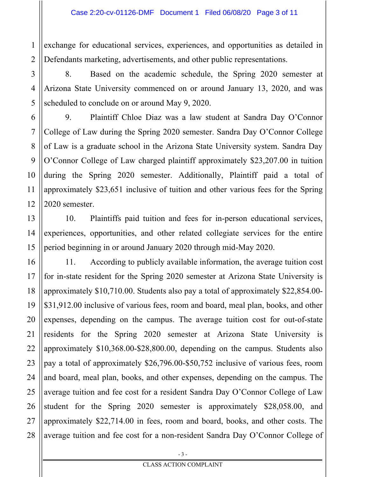1 exchange for educational services, experiences, and opportunities as detailed in Defendants marketing, advertisements, and other public representations.

8. Based on the academic schedule, the Spring 2020 semester at Arizona State University commenced on or around January 13, 2020, and was scheduled to conclude on or around May 9, 2020.

9. Plaintiff Chloe Diaz was a law student at Sandra Day O'Connor College of Law during the Spring 2020 semester. Sandra Day O'Connor College of Law is a graduate school in the Arizona State University system. Sandra Day O'Connor College of Law charged plaintiff approximately \$23,207.00 in tuition during the Spring 2020 semester. Additionally, Plaintiff paid a total of approximately \$23,651 inclusive of tuition and other various fees for the Spring 2020 semester.

10. Plaintiffs paid tuition and fees for in-person educational services, experiences, opportunities, and other related collegiate services for the entire period beginning in or around January 2020 through mid-May 2020.

11. According to publicly available information, the average tuition cost for in-state resident for the Spring 2020 semester at Arizona State University is approximately \$10,710.00. Students also pay a total of approximately \$22,854.00- \$31,912.00 inclusive of various fees, room and board, meal plan, books, and other expenses, depending on the campus. The average tuition cost for out-of-state residents for the Spring 2020 semester at Arizona State University is approximately \$10,368.00-\$28,800.00, depending on the campus. Students also pay a total of approximately \$26,796.00-\$50,752 inclusive of various fees, room and board, meal plan, books, and other expenses, depending on the campus. The average tuition and fee cost for a resident Sandra Day O'Connor College of Law student for the Spring 2020 semester is approximately \$28,058.00, and approximately \$22,714.00 in fees, room and board, books, and other costs. The average tuition and fee cost for a non-resident Sandra Day O'Connor College of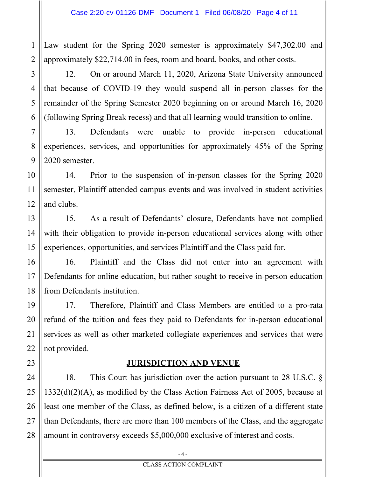1 2 Law student for the Spring 2020 semester is approximately \$47,302.00 and approximately \$22,714.00 in fees, room and board, books, and other costs.

12. On or around March 11, 2020, Arizona State University announced that because of COVID-19 they would suspend all in-person classes for the remainder of the Spring Semester 2020 beginning on or around March 16, 2020 (following Spring Break recess) and that all learning would transition to online.

13. Defendants were unable to provide in-person educational experiences, services, and opportunities for approximately 45% of the Spring 2020 semester.

14. Prior to the suspension of in-person classes for the Spring 2020 semester, Plaintiff attended campus events and was involved in student activities and clubs.

15. As a result of Defendants' closure, Defendants have not complied with their obligation to provide in-person educational services along with other experiences, opportunities, and services Plaintiff and the Class paid for.

16. Plaintiff and the Class did not enter into an agreement with Defendants for online education, but rather sought to receive in-person education from Defendants institution.

17. Therefore, Plaintiff and Class Members are entitled to a pro-rata refund of the tuition and fees they paid to Defendants for in-person educational services as well as other marketed collegiate experiences and services that were not provided.

#### **JURISDICTION AND VENUE**

18. This Court has jurisdiction over the action pursuant to 28 U.S.C. § 1332(d)(2)(A), as modified by the Class Action Fairness Act of 2005, because at least one member of the Class, as defined below, is a citizen of a different state than Defendants, there are more than 100 members of the Class, and the aggregate amount in controversy exceeds \$5,000,000 exclusive of interest and costs.

3

4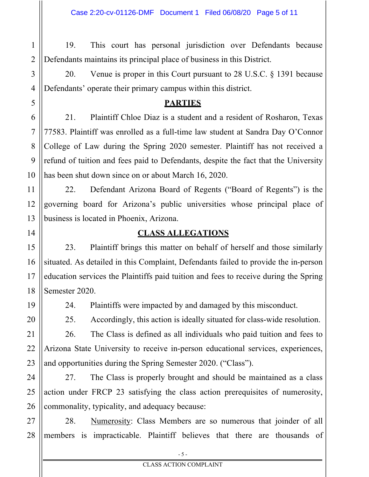1 2 19. This court has personal jurisdiction over Defendants because Defendants maintains its principal place of business in this District.

20. Venue is proper in this Court pursuant to 28 U.S.C. § 1391 because Defendants' operate their primary campus within this district.

#### **PARTIES**

21. Plaintiff Chloe Diaz is a student and a resident of Rosharon, Texas 77583. Plaintiff was enrolled as a full-time law student at Sandra Day O'Connor College of Law during the Spring 2020 semester. Plaintiff has not received a refund of tuition and fees paid to Defendants, despite the fact that the University has been shut down since on or about March 16, 2020.

22. Defendant Arizona Board of Regents ("Board of Regents") is the governing board for Arizona's public universities whose principal place of business is located in Phoenix, Arizona.

14

3

4

5

6

7

8

9

10

11

12

13

15

16

17

18

19

20

21

# **CLASS ALLEGATIONS**

23. Plaintiff brings this matter on behalf of herself and those similarly situated. As detailed in this Complaint, Defendants failed to provide the in-person education services the Plaintiffs paid tuition and fees to receive during the Spring Semester 2020.

24. Plaintiffs were impacted by and damaged by this misconduct.

25. Accordingly, this action is ideally situated for class-wide resolution.

22 23 26. The Class is defined as all individuals who paid tuition and fees to Arizona State University to receive in-person educational services, experiences, and opportunities during the Spring Semester 2020. ("Class").

24 25 26 27. The Class is properly brought and should be maintained as a class action under FRCP 23 satisfying the class action prerequisites of numerosity, commonality, typicality, and adequacy because:

27 28 28. Numerosity: Class Members are so numerous that joinder of all members is impracticable. Plaintiff believes that there are thousands of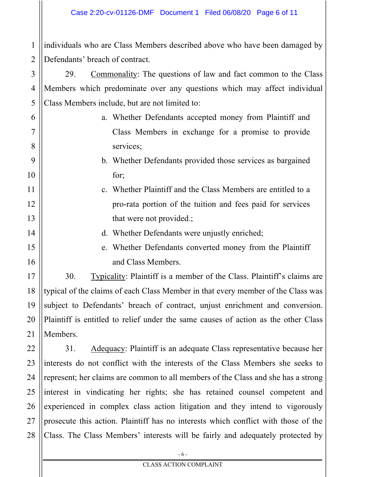1 2 individuals who are Class Members described above who have been damaged by Defendants' breach of contract.

3

4

5

6

7

8

9

10

11

12

13

14

15

16

17

18

19

20

21

29. Commonality: The questions of law and fact common to the Class Members which predominate over any questions which may affect individual Class Members include, but are not limited to:

- a. Whether Defendants accepted money from Plaintiff and Class Members in exchange for a promise to provide services;
	- b. Whether Defendants provided those services as bargained for;
- c. Whether Plaintiff and the Class Members are entitled to a pro-rata portion of the tuition and fees paid for services that were not provided.;
	- d. Whether Defendants were unjustly enriched;
	- e. Whether Defendants converted money from the Plaintiff and Class Members.

30. Typicality: Plaintiff is a member of the Class. Plaintiff's claims are typical of the claims of each Class Member in that every member of the Class was subject to Defendants' breach of contract, unjust enrichment and conversion. Plaintiff is entitled to relief under the same causes of action as the other Class Members.

22 23 24 25 26 27 28 31. Adequacy: Plaintiff is an adequate Class representative because her interests do not conflict with the interests of the Class Members she seeks to represent; her claims are common to all members of the Class and she has a strong interest in vindicating her rights; she has retained counsel competent and experienced in complex class action litigation and they intend to vigorously prosecute this action. Plaintiff has no interests which conflict with those of the Class. The Class Members' interests will be fairly and adequately protected by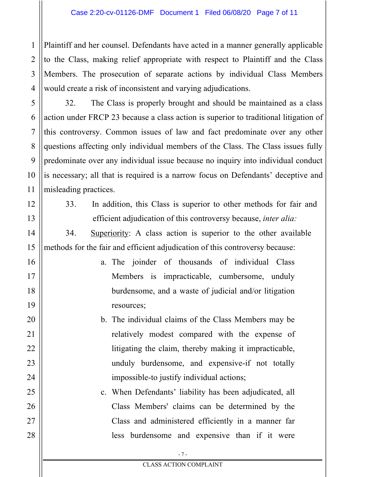Plaintiff and her counsel. Defendants have acted in a manner generally applicable to the Class, making relief appropriate with respect to Plaintiff and the Class Members. The prosecution of separate actions by individual Class Members would create a risk of inconsistent and varying adjudications.

32. The Class is properly brought and should be maintained as a class action under FRCP 23 because a class action is superior to traditional litigation of this controversy. Common issues of law and fact predominate over any other questions affecting only individual members of the Class. The Class issues fully predominate over any individual issue because no inquiry into individual conduct is necessary; all that is required is a narrow focus on Defendants' deceptive and misleading practices.

1

2

3

4

5

6

7

8

9

10

11

12

13

14

15

16

17

18

19

20

21

22

23

24

25

26

27

28

33. In addition, this Class is superior to other methods for fair and efficient adjudication of this controversy because, *inter alia:*

34. Superiority: A class action is superior to the other available methods for the fair and efficient adjudication of this controversy because:

- a. The joinder of thousands of individual Class Members is impracticable, cumbersome, unduly burdensome, and a waste of judicial and/or litigation resources;
- b. The individual claims of the Class Members may be relatively modest compared with the expense of litigating the claim, thereby making it impracticable, unduly burdensome, and expensive-if not totally impossible-to justify individual actions;

c. When Defendants' liability has been adjudicated, all Class Members' claims can be determined by the Class and administered efficiently in a manner far less burdensome and expensive than if it were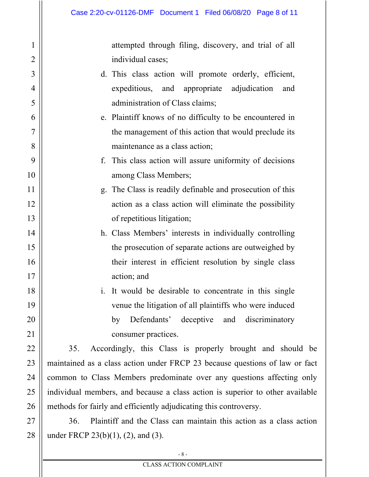1

2

3

4

5

6

7

8

9

10

11

12

13

14

15

16

17

18

19

20

21

22

23

24

25

26

attempted through filing, discovery, and trial of all individual cases;

- d. This class action will promote orderly, efficient, expeditious, and appropriate adjudication and administration of Class claims;
- e. Plaintiff knows of no difficulty to be encountered in the management of this action that would preclude its maintenance as a class action;
- f. This class action will assure uniformity of decisions among Class Members;
- g. The Class is readily definable and prosecution of this action as a class action will eliminate the possibility of repetitious litigation;
- h. Class Members' interests in individually controlling the prosecution of separate actions are outweighed by their interest in efficient resolution by single class action; and
- i. It would be desirable to concentrate in this single venue the litigation of all plaintiffs who were induced by Defendants' deceptive and discriminatory consumer practices.

35. Accordingly, this Class is properly brought and should be maintained as a class action under FRCP 23 because questions of law or fact common to Class Members predominate over any questions affecting only individual members, and because a class action is superior to other available methods for fairly and efficiently adjudicating this controversy.

27 28 36. Plaintiff and the Class can maintain this action as a class action under FRCP 23(b)(1), (2), and (3).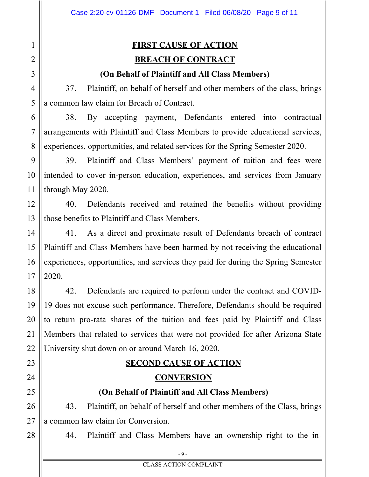# **FIRST CAUSE OF ACTION BREACH OF CONTRACT**

#### **(On Behalf of Plaintiff and All Class Members)**

37. Plaintiff, on behalf of herself and other members of the class, brings a common law claim for Breach of Contract.

38. By accepting payment, Defendants entered into contractual arrangements with Plaintiff and Class Members to provide educational services, experiences, opportunities, and related services for the Spring Semester 2020.

39. Plaintiff and Class Members' payment of tuition and fees were intended to cover in-person education, experiences, and services from January through May 2020.

40. Defendants received and retained the benefits without providing those benefits to Plaintiff and Class Members.

41. As a direct and proximate result of Defendants breach of contract Plaintiff and Class Members have been harmed by not receiving the educational experiences, opportunities, and services they paid for during the Spring Semester 2020.

42. Defendants are required to perform under the contract and COVID-19 does not excuse such performance. Therefore, Defendants should be required to return pro-rata shares of the tuition and fees paid by Plaintiff and Class Members that related to services that were not provided for after Arizona State University shut down on or around March 16, 2020.

# **SECOND CAUSE OF ACTION**

#### **CONVERSION**

#### **(On Behalf of Plaintiff and All Class Members)**

43. Plaintiff, on behalf of herself and other members of the Class, brings a common law claim for Conversion.

44. Plaintiff and Class Members have an ownership right to the in-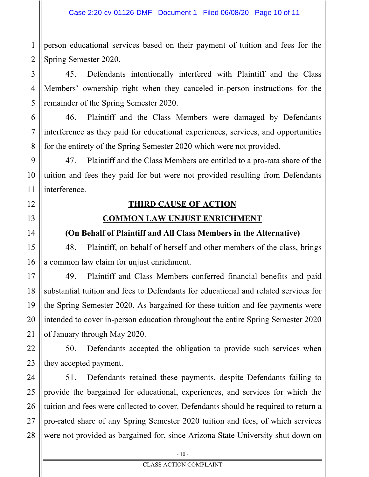1 2 person educational services based on their payment of tuition and fees for the Spring Semester 2020.

45. Defendants intentionally interfered with Plaintiff and the Class Members' ownership right when they canceled in-person instructions for the remainder of the Spring Semester 2020.

46. Plaintiff and the Class Members were damaged by Defendants interference as they paid for educational experiences, services, and opportunities for the entirety of the Spring Semester 2020 which were not provided.

47. Plaintiff and the Class Members are entitled to a pro-rata share of the tuition and fees they paid for but were not provided resulting from Defendants interference.

### **THIRD CAUSE OF ACTION**

#### **COMMON LAW UNJUST ENRICHMENT**

#### **(On Behalf of Plaintiff and All Class Members in the Alternative)**

48. Plaintiff, on behalf of herself and other members of the class, brings a common law claim for unjust enrichment.

49. Plaintiff and Class Members conferred financial benefits and paid substantial tuition and fees to Defendants for educational and related services for the Spring Semester 2020. As bargained for these tuition and fee payments were intended to cover in-person education throughout the entire Spring Semester 2020 of January through May 2020.

50. Defendants accepted the obligation to provide such services when they accepted payment.

51. Defendants retained these payments, despite Defendants failing to provide the bargained for educational, experiences, and services for which the tuition and fees were collected to cover. Defendants should be required to return a pro-rated share of any Spring Semester 2020 tuition and fees, of which services were not provided as bargained for, since Arizona State University shut down on

3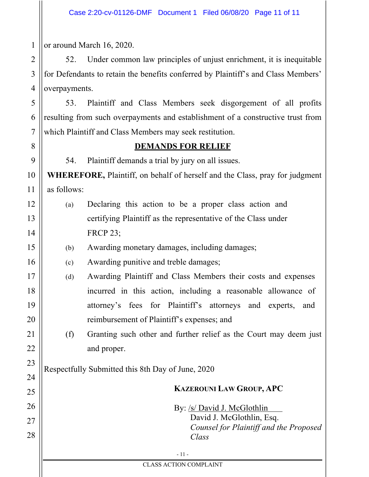1 or around March 16, 2020.

2

3

4

5

6

7

8

9

10

11

12

13

14

15

16

17

18

19

20

21

22

23

24

25

26

27

28

52. Under common law principles of unjust enrichment, it is inequitable for Defendants to retain the benefits conferred by Plaintiff's and Class Members' overpayments.

53. Plaintiff and Class Members seek disgorgement of all profits resulting from such overpayments and establishment of a constructive trust from which Plaintiff and Class Members may seek restitution.

#### **DEMANDS FOR RELIEF**

54. Plaintiff demands a trial by jury on all issues.

**WHEREFORE,** Plaintiff, on behalf of herself and the Class, pray for judgment as follows:

- (a) Declaring this action to be a proper class action and certifying Plaintiff as the representative of the Class under FRCP 23;
	- (b) Awarding monetary damages, including damages;
	- (c) Awarding punitive and treble damages;
	- (d) Awarding Plaintiff and Class Members their costs and expenses incurred in this action, including a reasonable allowance of attorney's fees for Plaintiff's attorneys and experts, and reimbursement of Plaintiff's expenses; and
		- (f) Granting such other and further relief as the Court may deem just and proper.

Respectfully Submitted this 8th Day of June, 2020

## **KAZEROUNI LAW GROUP, APC**

By: /s/ David J. McGlothlin David J. McGlothlin, Esq. *Counsel for Plaintiff and the Proposed Class*

- 11 -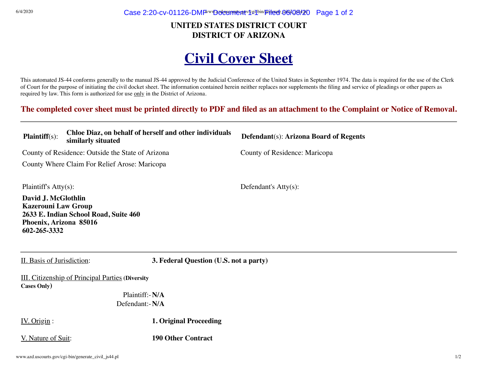$G/4/2020$  Case 2:20-cv-01126-DMF  $\sim$  Document 1-1 Filed 06/08/20 Page 1 of 2

#### **UNITED STATES DISTRICT COURT DISTRICT OF ARIZONA**

# **Civil Cover Sheet**

This automated JS-44 conforms generally to the manual JS-44 approved by the Judicial Conference of the United States in September 1974. The data is required for the use of the Clerk of Court for the purpose of initiating the civil docket sheet. The information contained herein neither replaces nor supplements the filing and service of pleadings or other papers as required by law. This form is authorized for use only in the District of Arizona.

**The completed cover sheet must be printed directly to PDF and filed as an attachment to the Complaint or Notice of Removal.**

| $\mathbf{Plaintiff}(s)$ :                                                                   | Chloe Diaz, on behalf of herself and other individuals<br>similarly situated |                                        | Defendant(s): Arizona Board of Regents |  |  |
|---------------------------------------------------------------------------------------------|------------------------------------------------------------------------------|----------------------------------------|----------------------------------------|--|--|
| County of Residence: Outside the State of Arizona                                           |                                                                              |                                        | County of Residence: Maricopa          |  |  |
| County Where Claim For Relief Arose: Maricopa                                               |                                                                              |                                        |                                        |  |  |
| Plaintiff's $Atty(s)$ :                                                                     |                                                                              |                                        | Defendant's $Atty(s)$ :                |  |  |
| David J. McGlothlin<br><b>Kazerouni Law Group</b><br>Phoenix, Arizona 85016<br>602-265-3332 | 2633 E. Indian School Road, Suite 460                                        |                                        |                                        |  |  |
| II. Basis of Jurisdiction:                                                                  |                                                                              | 3. Federal Question (U.S. not a party) |                                        |  |  |
|                                                                                             | <b>III.</b> Citizenship of Principal Parties (Diversity                      |                                        |                                        |  |  |
| <b>Cases Only</b> )                                                                         |                                                                              |                                        |                                        |  |  |
| Plaintiff:-N/A                                                                              |                                                                              |                                        |                                        |  |  |
|                                                                                             | Defendant:-N/A                                                               |                                        |                                        |  |  |
| IV. Origin:                                                                                 |                                                                              | <b>1. Original Proceeding</b>          |                                        |  |  |

V. Nature of Suit: **190 Other Contract**